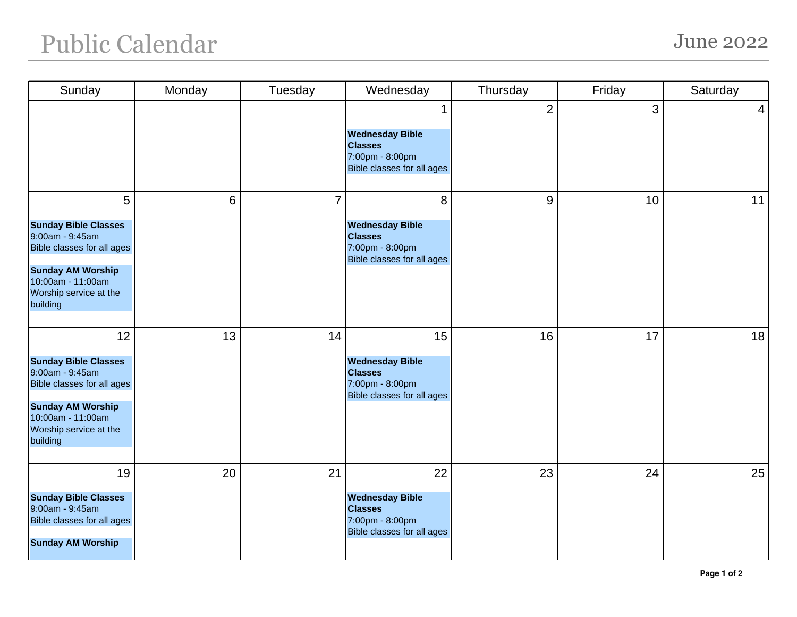## Public Calendar June 2022

| Sunday                                                                                                                                                                    | Monday | Tuesday        | Wednesday                                                                                       | Thursday       | Friday | Saturday        |
|---------------------------------------------------------------------------------------------------------------------------------------------------------------------------|--------|----------------|-------------------------------------------------------------------------------------------------|----------------|--------|-----------------|
|                                                                                                                                                                           |        |                | <b>Wednesday Bible</b><br><b>Classes</b><br>7:00pm - 8:00pm<br>Bible classes for all ages       | $\overline{2}$ | 3      | $\vert 4 \vert$ |
| 5<br><b>Sunday Bible Classes</b><br>9:00am - 9:45am<br>Bible classes for all ages<br><b>Sunday AM Worship</b><br>10:00am - 11:00am<br>Worship service at the<br>building  | 6      | $\overline{7}$ | 8<br><b>Wednesday Bible</b><br><b>Classes</b><br>7:00pm - 8:00pm<br>Bible classes for all ages  | 9              | 10     | 11              |
| 12<br><b>Sunday Bible Classes</b><br>9:00am - 9:45am<br>Bible classes for all ages<br><b>Sunday AM Worship</b><br>10:00am - 11:00am<br>Worship service at the<br>building | 13     | 14             | 15<br><b>Wednesday Bible</b><br><b>Classes</b><br>7:00pm - 8:00pm<br>Bible classes for all ages | 16             | 17     | 18              |
| 19<br><b>Sunday Bible Classes</b><br>9:00am - 9:45am<br>Bible classes for all ages<br><b>Sunday AM Worship</b>                                                            | 20     | 21             | 22<br><b>Wednesday Bible</b><br><b>Classes</b><br>7:00pm - 8:00pm<br>Bible classes for all ages | 23             | 24     | 25              |